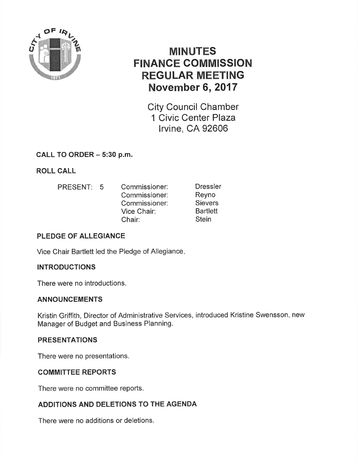

# MINUTES FINANCE COMMISSION REGULAR MEETING November 6,2017

City Council Chamber 1 Civic Center Plaza lrvine, CA 92606

## CALL TO ORDER - 5:30 p.m.

ROLL CALL

PRESENT: 5 Commissioner: Commissioner: Commissioner: Vice Chair: Chair: **Dressler** Reyno **Sievers Bartlett Stein** 

## PLEDGE OF ALLEGIANCE

Vice Chair Bartlett led the Pledge of Allegiance

#### **INTRODUCTIONS**

There were no introductions.

#### ANNOUNGEMENTS

Kristin Griffith, Director of Administrative Services, introduced Kristine Swensson, new Manager of Budget and Business Planning.

#### PRESENTATIONS

There were no presentations.

#### COMMITTEE REPORTS

There were no committee reports.

## ADDITIONS AND DELETIONS TO THE AGENDA

There were no additions or deletions.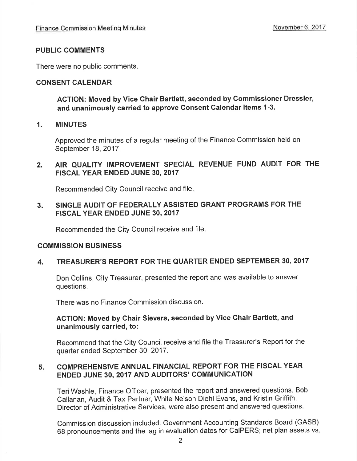#### PUBLIC COMMENTS

There were no public comments.

#### CONSENT CALENDAR

ACTION: Moved by Vice Ghair Bartlett, seconded by Commissioner Dressler, and unanimously carried to approve Consent Calendar ltems 1-3.

#### 1. MINUTES

Approved the minutes of a regular meeting of the Finance Commission held on September 18, 2017.

#### 2. AIR QUALITY IMPROVEMENT SPECIAL REVENUE FUND AUDIT FOR THE FISCAL YEAR ENDED JUNE 30,2017

Recommended City Council receive and file

#### 3. SINGLE AUDIT OF FEDERALLY ASSISTED GRANT PROGRAMS FOR THE FISCAL YEAR ENDED JUNE 30,2017

Recommended the City Council receive and file.

#### COMMISSION BUSINESS

#### 4. TREASURER'S REPORT FOR THE QUARTER ENDED SEPTEMBER 30, <sup>2017</sup>

Don Collins, City Treasurer, presented the report and was available to answer questions.

There was no Finance Commission discussion.

#### ACTION: Moved by Ghair Sievers, seconded by Vice Chair Bartlett, and unanimously carried, to:

Recommend that the City Council receive and file the Treasurer's Report for the quarter ended September 30,2017.

#### 5. COMPREHENSIVE ANNUAL FINANCIAL REPORT FOR THE FISCAL YEAR ENDED JUNE 30,2017 AND AUDITORS' COMMUNICATION

Teri Washle, Finance Officer, presented the report and answered questions. Bob Callanan, Audit & Tax Partner, White Nelson Diehl Evans, and Kristin Griffith, Director of Administrative Services, were also present and answered questions.

Commission discussion included: Government Accounting Standards Board (GASB) 68 pronouncements and the lag in evaluation dates for CaIPERS; net plan assets vs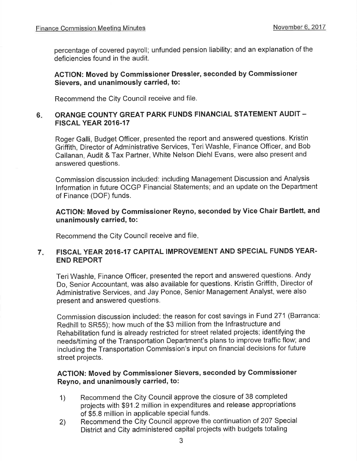percentage of covered payroll; unfunded pension liability; and an explanation of the deficiencies found in the audit.

#### ACTION: Moved by Gommissioner Dressler, seconded by Gommissioner Sievers, and unanimously carried, to:

Recommend the City Council receive and file,

#### 6 ORANGE COUNTY GREAT PARK FUNDS FINANCIAL STATEMENT AUDIT -FISCAL YEAR 2016.17

Roger Galli, Budget Officer, presented the report and answered questions. Kristin Griffith, Director of Administrative Services, TeriWashle, Finance Officer, and Bob Callanan, Audit & Tax Partner, White Nelson Diehl Evans, were also present and answered questions.

Commission discussion included: including Management Discussion and Analysis lnformation in future OCGP Financial Statements; and an update on the Department of Finance (DOF) funds.

#### AGTION: Moved by Commissioner Reyno, seconded by Vice Ghair Bartlett, and unanimously carried, to:

Recommend the City Council receive and file

#### 7 FISCAL YEAR 2016.17 CAPITAL IMPROVEMENT AND SPECIAL FUNDS YEAR-END REPORT

Teri Washle, Finance Officer, presented the report and answered questions. Andy Do, Senior Accountant, was also available for questions. Kristin Griffith, Director of Administrative Services, and Jay Ponce, Senior Management Analyst, were also present and answered questions.

Commission discussion included: the reason for cost savings in Fund 271 (Barranca'. Redhill to SR55); how much of the \$3 million from the lnfrastructure and Rehabilitation fund is already restricted for street related projects; identifying the needs/timing of the Transportation Department's plans to improve traffic flow; and including the Transportation Commission's input on financial decisions for future street projects.

#### AGTION: Moved by Commissioner Sievers, seconded by Commissioner Reyno, and unanimously carried, to:

- 1) Recommend the City Council approve the closure of 38 completed projects with \$91.2 million in expenditures and release appropriations of \$5.8 million in applicable special funds.
- 2) Recommend the City Council approve the continuation of 207 Special District and City administered capital projects with budgets totaling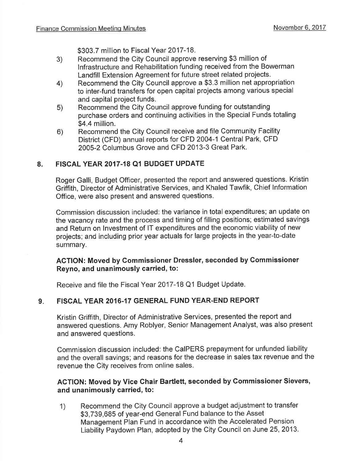\$303.7 million to Fiscal Year 2017-18.

- 3) Recommend the City Council approve reserving \$3 million of lnfrastructure and Rehabilitation funding received from the Bowerman Landfill Extension Agreement for future street related projects.
- Recommend the City Council approve a \$3.3 million net appropriation to inter-fund transfers for open capital projects among various special and capital project funds. 4)
- Recommend the City Council approve funding for outstanding purchase orders and continuing activities in the Special Funds totaling \$4.4 million. 5)
- Recommend the City Council receive and file Community Facility District (CFD) annual reports for CFD 2004-l Central Park, CFD 2005-2 Columbus Grove and CFD 2013-3 Great Park. 6)

#### 8. FISCAL YEAR 2017.18 Q1 BUDGET UPDATE

Roger Galli, Budget Officer, presented the report and answered questions. Kristin Griffith, Director of Administrative Services, and Khaled Tawfik, Chief lnformation Office, were also present and answered questions.

Commission discussion included: the variance in total expenditures; an update on the vacancy rate and the process and timing of filling positions; estimated savings and Return on lnvestment of lT expenditures and the economic viability of new projects; and including prior year actuals for large projects in the year-to-date summary.

#### ACTION: Moved by Commissioner Dressler, seconded by Gommissioner Reyno, and unanimously carried, to:

Receive and file the Fiscal Year 2017-18 Q1 Budget Update.

#### FISCAL YEAR 2016.17 GENERAL FUND YEAR-END REPORT  $9.1$

Kristin Griffith, Director of Administrative Services, presented the report and answered questions. Amy Roblyer, Senior Management Analyst, was also present and answered questions.

Commission discussion included: the CaIPERS prepayment for unfunded liability and the overall savings; and reasons for the decrease in sales tax revenue and the revenue the City receives from online sales.

#### AGTION: Moved by Vice Ghair Bartlett, seconded by Gommissioner Sievers, and unanimously carried, to:

1) Recommend the City Council approve a budget adjustment to transfer \$3,739,685 of year-end General Fund balance to the Asset Management Plan Fund in accordance with the Accelerated Pension Liability Paydown Plan, adopted by the City Council on June 25,2013.